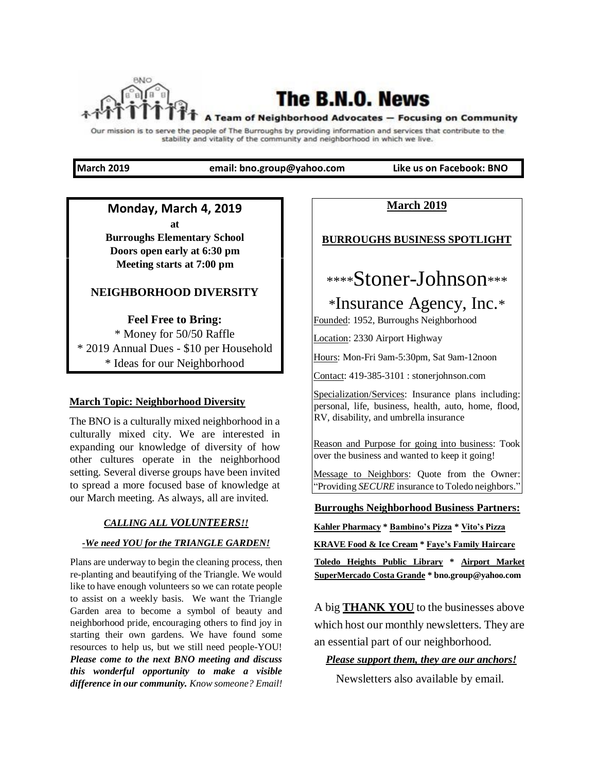

# The B.N.O. News

#### A Team of Neighborhood Advocates - Focusing on Community

Our mission is to serve the people of The Burroughs by providing information and services that contribute to the stability and vitality of the community and neighborhood in which we live.

**March 2019 email: bno.group@yahoo.com Like us on Facebook: BNO** 

### **Monday, March 4, 2019**

**at Burroughs Elementary School Doors open early at 6:30 pm Meeting starts at 7:00 pm** 

## **NEIGHBORHOOD DIVERSITY**

**Feel Free to Bring:**  \* Money for 50/50 Raffle \* 2019 Annual Dues - \$10 per Household

\* Ideas for our Neighborhood

### **March Topic: Neighborhood Diversity**

The BNO is a culturally mixed neighborhood in a culturally mixed city. We are interested in expanding our knowledge of diversity of how other cultures operate in the neighborhood setting. Several diverse groups have been invited to spread a more focused base of knowledge at our March meeting. As always, all are invited.

### *CALLING ALL VOLUNTEERS!!*

### *-We need YOU for the TRIANGLE GARDEN!*

Plans are underway to begin the cleaning process, then re-planting and beautifying of the Triangle. We would like to have enough volunteers so we can rotate people to assist on a weekly basis. We want the Triangle Garden area to become a symbol of beauty and neighborhood pride, encouraging others to find joy in starting their own gardens. We have found some resources to help us, but we still need people-YOU! *Please come to the next BNO meeting and discuss this wonderful opportunity to make a visible difference in our community. Know someone? Email!* **March 2019**

## **BURROUGHS BUSINESS SPOTLIGHT**

# \*\*\*\*Stoner-Johnson\*\*\*

# \*Insurance Agency, Inc.\*

Founded: 1952, Burroughs Neighborhood

Location: 2330 Airport Highway

Hours: Mon-Fri 9am-5:30pm, Sat 9am-12noon

Contact: 419-385-3101 : stonerjohnson.com

Specialization/Services: Insurance plans including: personal, life, business, health, auto, home, flood, RV, disability, and umbrella insurance

Reason and Purpose for going into business: Took over the business and wanted to keep it going!

Message to Neighbors: Quote from the Owner: "Providing *SECURE* insurance to Toledo neighbors."

**Burroughs Neighborhood Business Partners:**

**Kahler Pharmacy \* Bambino's Pizza \* Vito's Pizza**

**KRAVE Food & Ice Cream \* Faye's Family Haircare**

**Toledo Heights Public Library \* Airport Market SuperMercado Costa Grande \* bno.group@yahoo.com**

A big **THANK YOU** to the businesses above which host our monthly newsletters. They are an essential part of our neighborhood.

### *Please support them, they are our anchors!*

Newsletters also available by email.